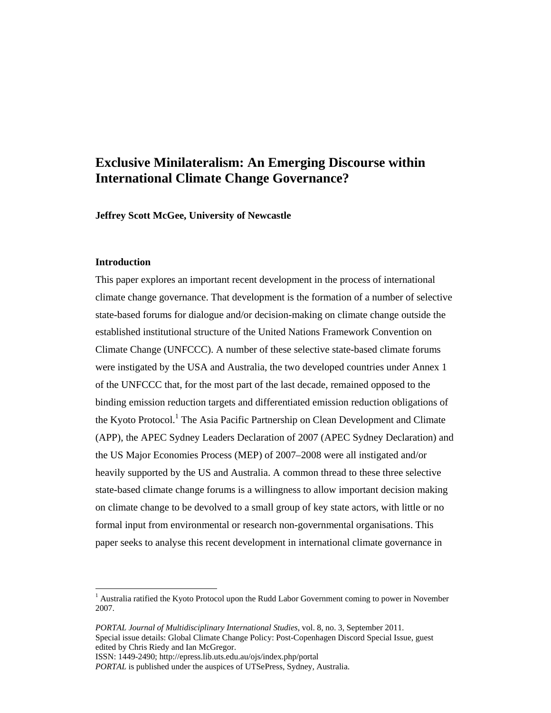# **Exclusive Minilateralism: An Emerging Discourse within International Climate Change Governance?**

**Jeffrey Scott McGee, University of Newcastle** 

## **Introduction**

 $\overline{a}$ 

This paper explores an important recent development in the process of international climate change governance. That development is the formation of a number of selective state-based forums for dialogue and/or decision-making on climate change outside the established institutional structure of the United Nations Framework Convention on Climate Change (UNFCCC). A number of these selective state-based climate forums were instigated by the USA and Australia, the two developed countries under Annex 1 of the UNFCCC that, for the most part of the last decade, remained opposed to the binding emission reduction targets and differentiated emission reduction obligations of the Kyoto Protocol.<sup>1</sup> The Asia Pacific Partnership on Clean Development and Climate (APP), the APEC Sydney Leaders Declaration of 2007 (APEC Sydney Declaration) and the US Major Economies Process (MEP) of 2007–2008 were all instigated and/or heavily supported by the US and Australia. A common thread to these three selective state-based climate change forums is a willingness to allow important decision making on climate change to be devolved to a small group of key state actors, with little or no formal input from environmental or research non-governmental organisations. This paper seeks to analyse this recent development in international climate governance in

*PORTAL Journal of Multidisciplinary International Studies*, vol. 8, no. 3, September 2011.

<sup>&</sup>lt;sup>1</sup> Australia ratified the Kyoto Protocol upon the Rudd Labor Government coming to power in November 2007.

Special issue details: Global Climate Change Policy: Post-Copenhagen Discord Special Issue, guest edited by Chris Riedy and Ian McGregor.

ISSN: 1449-2490; http://epress.lib.uts.edu.au/ojs/index.php/portal

*PORTAL* is published under the auspices of UTSePress, Sydney, Australia.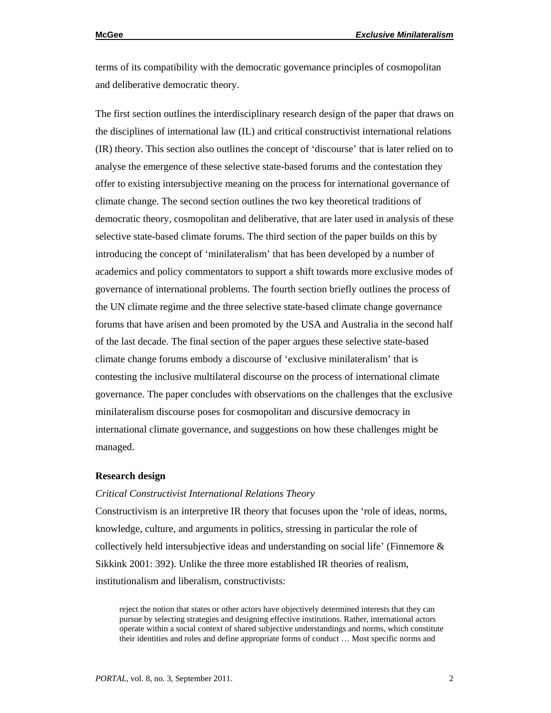terms of its compatibility with the democratic governance principles of cosmopolitan and deliberative democratic theory.

The first section outlines the interdisciplinary research design of the paper that draws on the disciplines of international law (IL) and critical constructivist international relations (IR) theory. This section also outlines the concept of 'discourse' that is later relied on to analyse the emergence of these selective state-based forums and the contestation they offer to existing intersubjective meaning on the process for international governance of climate change. The second section outlines the two key theoretical traditions of democratic theory, cosmopolitan and deliberative, that are later used in analysis of these selective state-based climate forums. The third section of the paper builds on this by introducing the concept of 'minilateralism' that has been developed by a number of academics and policy commentators to support a shift towards more exclusive modes of governance of international problems. The fourth section briefly outlines the process of the UN climate regime and the three selective state-based climate change governance forums that have arisen and been promoted by the USA and Australia in the second half of the last decade. The final section of the paper argues these selective state-based climate change forums embody a discourse of 'exclusive minilateralism' that is contesting the inclusive multilateral discourse on the process of international climate governance. The paper concludes with observations on the challenges that the exclusive minilateralism discourse poses for cosmopolitan and discursive democracy in international climate governance, and suggestions on how these challenges might be managed.

#### **Research design**

#### *Critical Constructivist International Relations Theory*

Constructivism is an interpretive IR theory that focuses upon the 'role of ideas, norms, knowledge, culture, and arguments in politics, stressing in particular the role of collectively held intersubjective ideas and understanding on social life' (Finnemore  $\&$ Sikkink 2001: 392). Unlike the three more established IR theories of realism, institutionalism and liberalism, constructivists:

reject the notion that states or other actors have objectively determined interests that they can pursue by selecting strategies and designing effective institutions. Rather, international actors operate within a social context of shared subjective understandings and norms, which constitute their identities and roles and define appropriate forms of conduct … Most specific norms and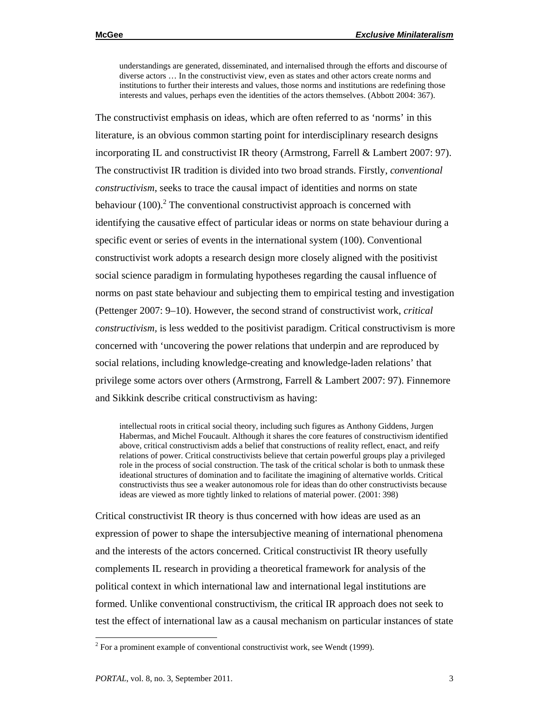understandings are generated, disseminated, and internalised through the efforts and discourse of diverse actors … In the constructivist view, even as states and other actors create norms and institutions to further their interests and values, those norms and institutions are redefining those interests and values, perhaps even the identities of the actors themselves. (Abbott 2004: 367).

The constructivist emphasis on ideas, which are often referred to as 'norms' in this literature, is an obvious common starting point for interdisciplinary research designs incorporating IL and constructivist IR theory (Armstrong, Farrell & Lambert 2007: 97). The constructivist IR tradition is divided into two broad strands. Firstly, *conventional constructivism*, seeks to trace the causal impact of identities and norms on state behaviour  $(100)$ <sup>2</sup>. The conventional constructivist approach is concerned with identifying the causative effect of particular ideas or norms on state behaviour during a specific event or series of events in the international system (100). Conventional constructivist work adopts a research design more closely aligned with the positivist social science paradigm in formulating hypotheses regarding the causal influence of norms on past state behaviour and subjecting them to empirical testing and investigation (Pettenger 2007: 9–10). However, the second strand of constructivist work, *critical constructivism,* is less wedded to the positivist paradigm. Critical constructivism is more concerned with 'uncovering the power relations that underpin and are reproduced by social relations, including knowledge-creating and knowledge-laden relations' that privilege some actors over others (Armstrong, Farrell & Lambert 2007: 97). Finnemore and Sikkink describe critical constructivism as having:

intellectual roots in critical social theory, including such figures as Anthony Giddens, Jurgen Habermas, and Michel Foucault. Although it shares the core features of constructivism identified above, critical constructivism adds a belief that constructions of reality reflect, enact, and reify relations of power. Critical constructivists believe that certain powerful groups play a privileged role in the process of social construction. The task of the critical scholar is both to unmask these ideational structures of domination and to facilitate the imagining of alternative worlds. Critical constructivists thus see a weaker autonomous role for ideas than do other constructivists because ideas are viewed as more tightly linked to relations of material power. (2001: 398)

Critical constructivist IR theory is thus concerned with how ideas are used as an expression of power to shape the intersubjective meaning of international phenomena and the interests of the actors concerned. Critical constructivist IR theory usefully complements IL research in providing a theoretical framework for analysis of the political context in which international law and international legal institutions are formed. Unlike conventional constructivism, the critical IR approach does not seek to test the effect of international law as a causal mechanism on particular instances of state

 $2^2$  For a prominent example of conventional constructivist work, see Wendt (1999).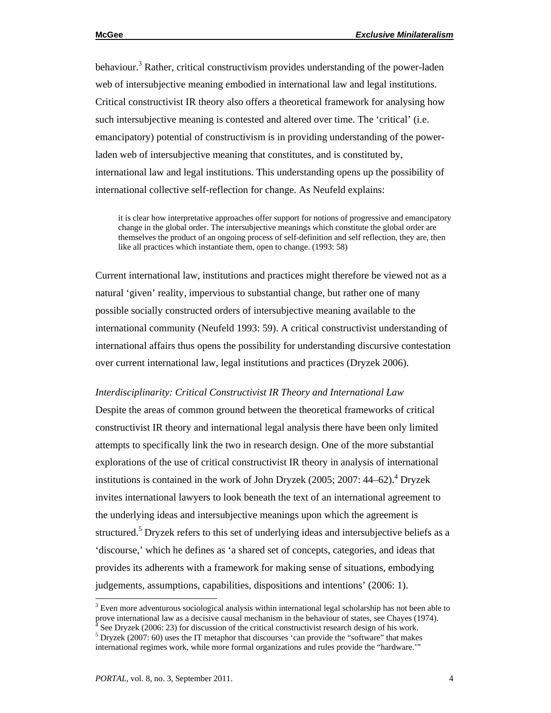behaviour.<sup>3</sup> Rather, critical constructivism provides understanding of the power-laden web of intersubjective meaning embodied in international law and legal institutions. Critical constructivist IR theory also offers a theoretical framework for analysing how such intersubjective meaning is contested and altered over time. The 'critical' (i.e. emancipatory) potential of constructivism is in providing understanding of the powerladen web of intersubjective meaning that constitutes, and is constituted by, international law and legal institutions. This understanding opens up the possibility of international collective self-reflection for change. As Neufeld explains:

it is clear how interpretative approaches offer support for notions of progressive and emancipatory change in the global order. The intersubjective meanings which constitute the global order are themselves the product of an ongoing process of self-definition and self reflection, they are, then like all practices which instantiate them, open to change. (1993: 58)

Current international law, institutions and practices might therefore be viewed not as a natural 'given' reality, impervious to substantial change, but rather one of many possible socially constructed orders of intersubjective meaning available to the international community (Neufeld 1993: 59). A critical constructivist understanding of international affairs thus opens the possibility for understanding discursive contestation over current international law, legal institutions and practices (Dryzek 2006).

#### *Interdisciplinarity: Critical Constructivist IR Theory and International Law*

Despite the areas of common ground between the theoretical frameworks of critical constructivist IR theory and international legal analysis there have been only limited attempts to specifically link the two in research design. One of the more substantial explorations of the use of critical constructivist IR theory in analysis of international institutions is contained in the work of John Dryzek  $(2005; 2007: 44-62)$ .<sup>4</sup> Dryzek invites international lawyers to look beneath the text of an international agreement to the underlying ideas and intersubjective meanings upon which the agreement is structured.<sup>5</sup> Dryzek refers to this set of underlying ideas and intersubjective beliefs as a 'discourse,' which he defines as 'a shared set of concepts, categories, and ideas that provides its adherents with a framework for making sense of situations, embodying judgements, assumptions, capabilities, dispositions and intentions' (2006: 1).

 $3$  Even more adventurous sociological analysis within international legal scholarship has not been able to prove international law as a decisive causal mechanism in the behaviour of states, see Chayes (1974).<br><sup>4</sup> See Drugak (2006: 23) for discussion of the critical constructivist research design of his work.

See Dryzek (2006: 23) for discussion of the critical constructivist research design of his work.

 $<sup>5</sup>$  Dryzek (2007: 60) uses the IT metaphor that discourses 'can provide the "software" that makes</sup> international regimes work, while more formal organizations and rules provide the "hardware.'"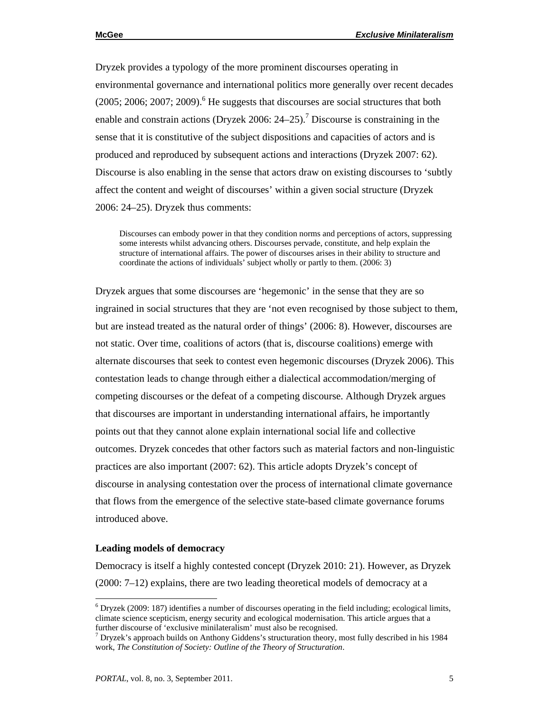Dryzek provides a typology of the more prominent discourses operating in environmental governance and international politics more generally over recent decades  $(2005; 2006; 2007; 2009)$ .<sup>6</sup> He suggests that discourses are social structures that both enable and constrain actions (Dryzek 2006:  $24-25$ ).<sup>7</sup> Discourse is constraining in the sense that it is constitutive of the subject dispositions and capacities of actors and is produced and reproduced by subsequent actions and interactions (Dryzek 2007: 62). Discourse is also enabling in the sense that actors draw on existing discourses to 'subtly affect the content and weight of discourses' within a given social structure (Dryzek 2006: 24–25). Dryzek thus comments:

Discourses can embody power in that they condition norms and perceptions of actors, suppressing some interests whilst advancing others. Discourses pervade, constitute, and help explain the structure of international affairs. The power of discourses arises in their ability to structure and coordinate the actions of individuals' subject wholly or partly to them. (2006: 3)

Dryzek argues that some discourses are 'hegemonic' in the sense that they are so ingrained in social structures that they are 'not even recognised by those subject to them, but are instead treated as the natural order of things' (2006: 8). However, discourses are not static. Over time, coalitions of actors (that is, discourse coalitions) emerge with alternate discourses that seek to contest even hegemonic discourses (Dryzek 2006). This contestation leads to change through either a dialectical accommodation/merging of competing discourses or the defeat of a competing discourse. Although Dryzek argues that discourses are important in understanding international affairs, he importantly points out that they cannot alone explain international social life and collective outcomes. Dryzek concedes that other factors such as material factors and non-linguistic practices are also important (2007: 62). This article adopts Dryzek's concept of discourse in analysing contestation over the process of international climate governance that flows from the emergence of the selective state-based climate governance forums introduced above.

### **Leading models of democracy**

 $\overline{a}$ 

Democracy is itself a highly contested concept (Dryzek 2010: 21). However, as Dryzek (2000: 7–12) explains, there are two leading theoretical models of democracy at a

 $6$  Dryzek (2009: 187) identifies a number of discourses operating in the field including; ecological limits, climate science scepticism, energy security and ecological modernisation. This article argues that a further discourse of 'exclusive minilateralism' must also be recognised. 7

 $\sigma$  Dryzek's approach builds on Anthony Giddens's structuration theory, most fully described in his 1984 work, *The Constitution of Society: Outline of the Theory of Structuration*.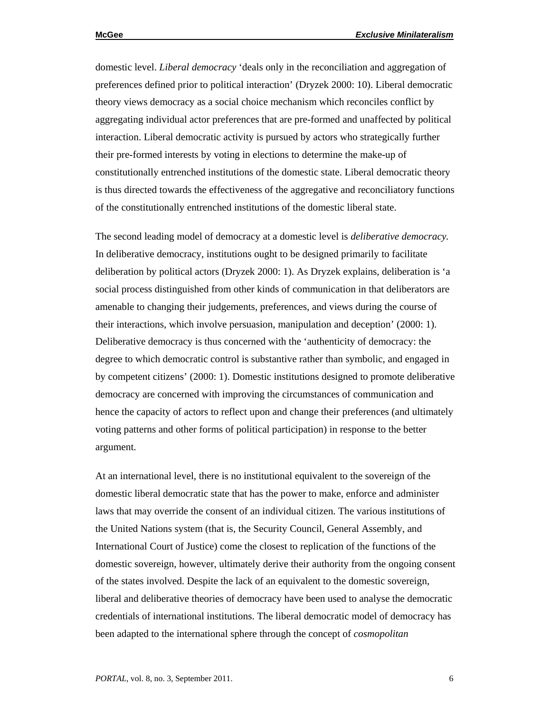domestic level. *Liberal democracy* 'deals only in the reconciliation and aggregation of preferences defined prior to political interaction' (Dryzek 2000: 10). Liberal democratic theory views democracy as a social choice mechanism which reconciles conflict by aggregating individual actor preferences that are pre-formed and unaffected by political interaction. Liberal democratic activity is pursued by actors who strategically further their pre-formed interests by voting in elections to determine the make-up of constitutionally entrenched institutions of the domestic state. Liberal democratic theory is thus directed towards the effectiveness of the aggregative and reconciliatory functions of the constitutionally entrenched institutions of the domestic liberal state.

The second leading model of democracy at a domestic level is *deliberative democracy.*  In deliberative democracy, institutions ought to be designed primarily to facilitate deliberation by political actors (Dryzek 2000: 1). As Dryzek explains, deliberation is 'a social process distinguished from other kinds of communication in that deliberators are amenable to changing their judgements, preferences, and views during the course of their interactions, which involve persuasion, manipulation and deception' (2000: 1). Deliberative democracy is thus concerned with the 'authenticity of democracy: the degree to which democratic control is substantive rather than symbolic, and engaged in by competent citizens' (2000: 1). Domestic institutions designed to promote deliberative democracy are concerned with improving the circumstances of communication and hence the capacity of actors to reflect upon and change their preferences (and ultimately voting patterns and other forms of political participation) in response to the better argument.

At an international level, there is no institutional equivalent to the sovereign of the domestic liberal democratic state that has the power to make, enforce and administer laws that may override the consent of an individual citizen. The various institutions of the United Nations system (that is, the Security Council, General Assembly, and International Court of Justice) come the closest to replication of the functions of the domestic sovereign, however, ultimately derive their authority from the ongoing consent of the states involved. Despite the lack of an equivalent to the domestic sovereign, liberal and deliberative theories of democracy have been used to analyse the democratic credentials of international institutions. The liberal democratic model of democracy has been adapted to the international sphere through the concept of *cosmopolitan*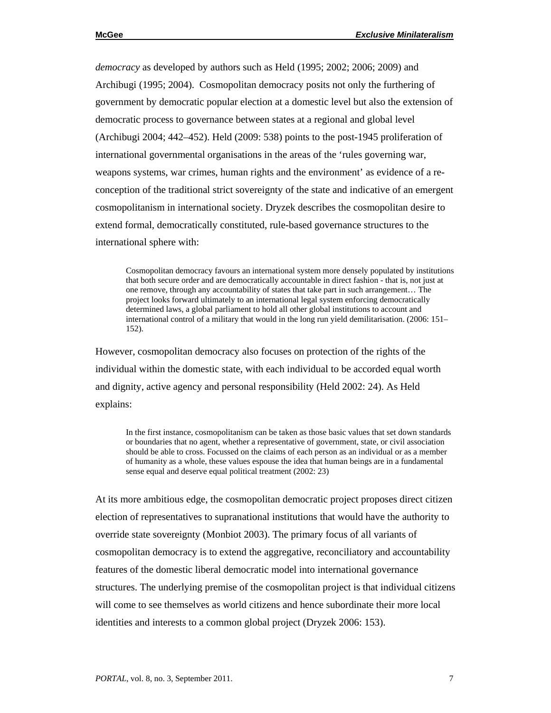*democracy* as developed by authors such as Held (1995; 2002; 2006; 2009) and Archibugi (1995; 2004). Cosmopolitan democracy posits not only the furthering of government by democratic popular election at a domestic level but also the extension of democratic process to governance between states at a regional and global level (Archibugi 2004; 442–452). Held (2009: 538) points to the post-1945 proliferation of international governmental organisations in the areas of the 'rules governing war, weapons systems, war crimes, human rights and the environment' as evidence of a reconception of the traditional strict sovereignty of the state and indicative of an emergent cosmopolitanism in international society. Dryzek describes the cosmopolitan desire to extend formal, democratically constituted, rule-based governance structures to the international sphere with:

Cosmopolitan democracy favours an international system more densely populated by institutions that both secure order and are democratically accountable in direct fashion - that is, not just at one remove, through any accountability of states that take part in such arrangement… The project looks forward ultimately to an international legal system enforcing democratically determined laws, a global parliament to hold all other global institutions to account and international control of a military that would in the long run yield demilitarisation. (2006: 151– 152).

However, cosmopolitan democracy also focuses on protection of the rights of the individual within the domestic state, with each individual to be accorded equal worth and dignity, active agency and personal responsibility (Held 2002: 24). As Held explains:

In the first instance, cosmopolitanism can be taken as those basic values that set down standards or boundaries that no agent, whether a representative of government, state, or civil association should be able to cross. Focussed on the claims of each person as an individual or as a member of humanity as a whole, these values espouse the idea that human beings are in a fundamental sense equal and deserve equal political treatment (2002: 23)

At its more ambitious edge, the cosmopolitan democratic project proposes direct citizen election of representatives to supranational institutions that would have the authority to override state sovereignty (Monbiot 2003). The primary focus of all variants of cosmopolitan democracy is to extend the aggregative, reconciliatory and accountability features of the domestic liberal democratic model into international governance structures. The underlying premise of the cosmopolitan project is that individual citizens will come to see themselves as world citizens and hence subordinate their more local identities and interests to a common global project (Dryzek 2006: 153).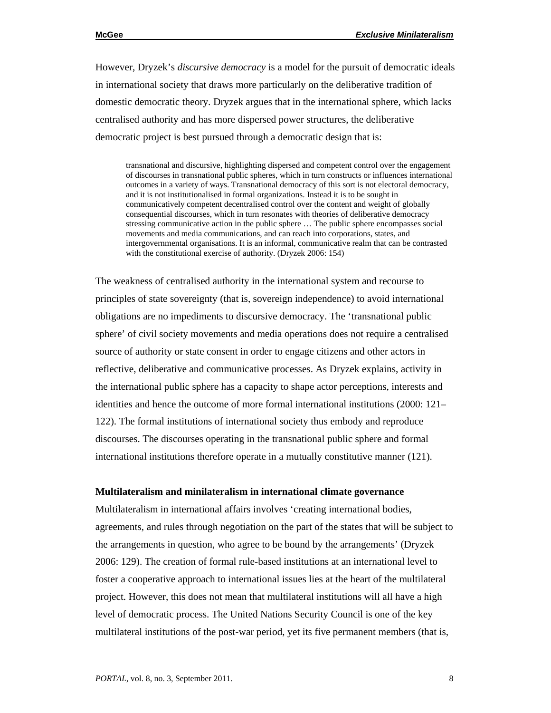However, Dryzek's *discursive democracy* is a model for the pursuit of democratic ideals in international society that draws more particularly on the deliberative tradition of domestic democratic theory*.* Dryzek argues that in the international sphere, which lacks centralised authority and has more dispersed power structures, the deliberative democratic project is best pursued through a democratic design that is:

transnational and discursive, highlighting dispersed and competent control over the engagement of discourses in transnational public spheres, which in turn constructs or influences international outcomes in a variety of ways. Transnational democracy of this sort is not electoral democracy, and it is not institutionalised in formal organizations. Instead it is to be sought in communicatively competent decentralised control over the content and weight of globally consequential discourses, which in turn resonates with theories of deliberative democracy stressing communicative action in the public sphere … The public sphere encompasses social movements and media communications, and can reach into corporations, states, and intergovernmental organisations. It is an informal, communicative realm that can be contrasted with the constitutional exercise of authority. (Dryzek 2006: 154)

The weakness of centralised authority in the international system and recourse to principles of state sovereignty (that is, sovereign independence) to avoid international obligations are no impediments to discursive democracy. The 'transnational public sphere' of civil society movements and media operations does not require a centralised source of authority or state consent in order to engage citizens and other actors in reflective, deliberative and communicative processes. As Dryzek explains, activity in the international public sphere has a capacity to shape actor perceptions, interests and identities and hence the outcome of more formal international institutions (2000: 121– 122). The formal institutions of international society thus embody and reproduce discourses. The discourses operating in the transnational public sphere and formal international institutions therefore operate in a mutually constitutive manner (121).

### **Multilateralism and minilateralism in international climate governance**

Multilateralism in international affairs involves 'creating international bodies, agreements, and rules through negotiation on the part of the states that will be subject to the arrangements in question, who agree to be bound by the arrangements' (Dryzek 2006: 129). The creation of formal rule-based institutions at an international level to foster a cooperative approach to international issues lies at the heart of the multilateral project. However, this does not mean that multilateral institutions will all have a high level of democratic process. The United Nations Security Council is one of the key multilateral institutions of the post-war period, yet its five permanent members (that is,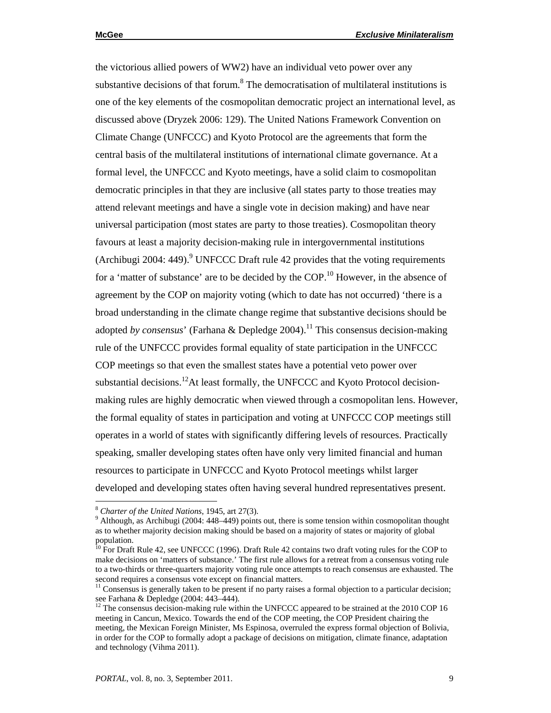the victorious allied powers of WW2) have an individual veto power over any substantive decisions of that forum. $8$  The democratisation of multilateral institutions is one of the key elements of the cosmopolitan democratic project an international level, as discussed above (Dryzek 2006: 129). The United Nations Framework Convention on Climate Change (UNFCCC) and Kyoto Protocol are the agreements that form the central basis of the multilateral institutions of international climate governance. At a formal level, the UNFCCC and Kyoto meetings, have a solid claim to cosmopolitan democratic principles in that they are inclusive (all states party to those treaties may attend relevant meetings and have a single vote in decision making) and have near universal participation (most states are party to those treaties). Cosmopolitan theory favours at least a majority decision-making rule in intergovernmental institutions (Archibugi 2004: 449). $9^9$  UNFCCC Draft rule 42 provides that the voting requirements for a 'matter of substance' are to be decided by the  $COP$ .<sup>10</sup> However, in the absence of agreement by the COP on majority voting (which to date has not occurred) 'there is a broad understanding in the climate change regime that substantive decisions should be adopted *by consensus*' (Farhana & Depledge 2004).<sup>11</sup> This consensus decision-making rule of the UNFCCC provides formal equality of state participation in the UNFCCC COP meetings so that even the smallest states have a potential veto power over substantial decisions.<sup>12</sup>At least formally, the UNFCCC and Kyoto Protocol decisionmaking rules are highly democratic when viewed through a cosmopolitan lens. However, the formal equality of states in participation and voting at UNFCCC COP meetings still operates in a world of states with significantly differing levels of resources. Practically speaking, smaller developing states often have only very limited financial and human resources to participate in UNFCCC and Kyoto Protocol meetings whilst larger developed and developing states often having several hundred representatives present.

<sup>&</sup>lt;sup>8</sup> Charter of the United Nations, 1945, art 27(3).

 $9$  Although, as Archibugi (2004: 448–449) points out, there is some tension within cosmopolitan thought as to whether majority decision making should be based on a majority of states or majority of global population.

 $10$  For Draft Rule 42, see UNFCCC (1996). Draft Rule 42 contains two draft voting rules for the COP to make decisions on 'matters of substance.' The first rule allows for a retreat from a consensus voting rule to a two-thirds or three-quarters majority voting rule once attempts to reach consensus are exhausted. The second requires a consensus vote except on financial matters.

<sup>&</sup>lt;sup>11</sup> Consensus is generally taken to be present if no party raises a formal objection to a particular decision; see Farhana & Depledge (2004: 443–444).

<sup>&</sup>lt;sup>12</sup> The consensus decision-making rule within the UNFCCC appeared to be strained at the 2010 COP 16 meeting in Cancun, Mexico. Towards the end of the COP meeting, the COP President chairing the meeting, the Mexican Foreign Minister, Ms Espinosa, overruled the express formal objection of Bolivia, in order for the COP to formally adopt a package of decisions on mitigation, climate finance, adaptation and technology (Vihma 2011).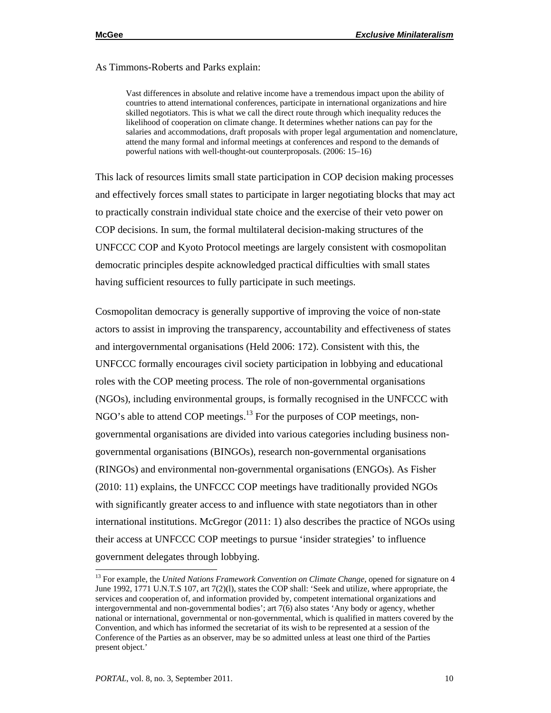As Timmons-Roberts and Parks explain:

Vast differences in absolute and relative income have a tremendous impact upon the ability of countries to attend international conferences, participate in international organizations and hire skilled negotiators. This is what we call the direct route through which inequality reduces the likelihood of cooperation on climate change. It determines whether nations can pay for the salaries and accommodations, draft proposals with proper legal argumentation and nomenclature, attend the many formal and informal meetings at conferences and respond to the demands of powerful nations with well-thought-out counterproposals. (2006: 15–16)

This lack of resources limits small state participation in COP decision making processes and effectively forces small states to participate in larger negotiating blocks that may act to practically constrain individual state choice and the exercise of their veto power on COP decisions. In sum, the formal multilateral decision-making structures of the UNFCCC COP and Kyoto Protocol meetings are largely consistent with cosmopolitan democratic principles despite acknowledged practical difficulties with small states having sufficient resources to fully participate in such meetings.

Cosmopolitan democracy is generally supportive of improving the voice of non-state actors to assist in improving the transparency, accountability and effectiveness of states and intergovernmental organisations (Held 2006: 172). Consistent with this, the UNFCCC formally encourages civil society participation in lobbying and educational roles with the COP meeting process. The role of non-governmental organisations (NGOs), including environmental groups, is formally recognised in the UNFCCC with NGO's able to attend COP meetings.<sup>13</sup> For the purposes of COP meetings, nongovernmental organisations are divided into various categories including business nongovernmental organisations (BINGOs), research non-governmental organisations (RINGOs) and environmental non-governmental organisations (ENGOs). As Fisher (2010: 11) explains, the UNFCCC COP meetings have traditionally provided NGOs with significantly greater access to and influence with state negotiators than in other international institutions. McGregor (2011: 1) also describes the practice of NGOs using their access at UNFCCC COP meetings to pursue 'insider strategies' to influence government delegates through lobbying.

<sup>&</sup>lt;sup>13</sup> For example, the *United Nations Framework Convention on Climate Change*, opened for signature on 4 June 1992, 1771 U.N.T.S 107, art 7(2)(l), states the COP shall: 'Seek and utilize, where appropriate, the services and cooperation of, and information provided by, competent international organizations and intergovernmental and non-governmental bodies'; art 7(6) also states 'Any body or agency, whether national or international, governmental or non-governmental, which is qualified in matters covered by the Convention, and which has informed the secretariat of its wish to be represented at a session of the Conference of the Parties as an observer, may be so admitted unless at least one third of the Parties present object.'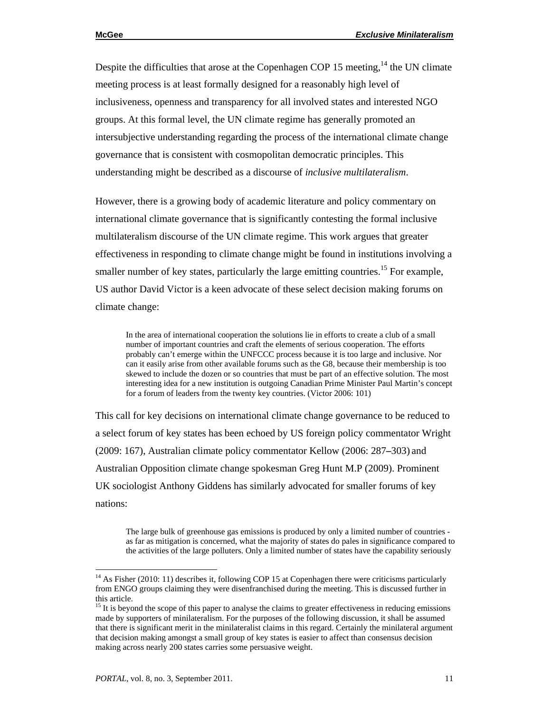Despite the difficulties that arose at the Copenhagen COP 15 meeting,  $^{14}$  the UN climate meeting process is at least formally designed for a reasonably high level of inclusiveness, openness and transparency for all involved states and interested NGO groups. At this formal level, the UN climate regime has generally promoted an intersubjective understanding regarding the process of the international climate change governance that is consistent with cosmopolitan democratic principles. This understanding might be described as a discourse of *inclusive multilateralism*.

However, there is a growing body of academic literature and policy commentary on international climate governance that is significantly contesting the formal inclusive multilateralism discourse of the UN climate regime. This work argues that greater effectiveness in responding to climate change might be found in institutions involving a smaller number of key states, particularly the large emitting countries.<sup>15</sup> For example, US author David Victor is a keen advocate of these select decision making forums on climate change:

In the area of international cooperation the solutions lie in efforts to create a club of a small number of important countries and craft the elements of serious cooperation. The efforts probably can't emerge within the UNFCCC process because it is too large and inclusive. Nor can it easily arise from other available forums such as the G8, because their membership is too skewed to include the dozen or so countries that must be part of an effective solution. The most interesting idea for a new institution is outgoing Canadian Prime Minister Paul Martin's concept for a forum of leaders from the twenty key countries. (Victor 2006: 101)

This call for key decisions on international climate change governance to be reduced to a select forum of key states has been echoed by US foreign policy commentator Wright (2009: 167), Australian climate policy commentator Kellow (2006: 287*–*303) and Australian Opposition climate change spokesman Greg Hunt M.P (2009). Prominent UK sociologist Anthony Giddens has similarly advocated for smaller forums of key nations:

The large bulk of greenhouse gas emissions is produced by only a limited number of countries as far as mitigation is concerned, what the majority of states do pales in significance compared to the activities of the large polluters. Only a limited number of states have the capability seriously

<sup>&</sup>lt;sup>14</sup> As Fisher (2010: 11) describes it, following COP 15 at Copenhagen there were criticisms particularly from ENGO groups claiming they were disenfranchised during the meeting. This is discussed further in this article.

<sup>&</sup>lt;sup>15</sup> It is beyond the scope of this paper to analyse the claims to greater effectiveness in reducing emissions made by supporters of minilateralism. For the purposes of the following discussion, it shall be assumed that there is significant merit in the minilateralist claims in this regard. Certainly the minilateral argument that decision making amongst a small group of key states is easier to affect than consensus decision making across nearly 200 states carries some persuasive weight.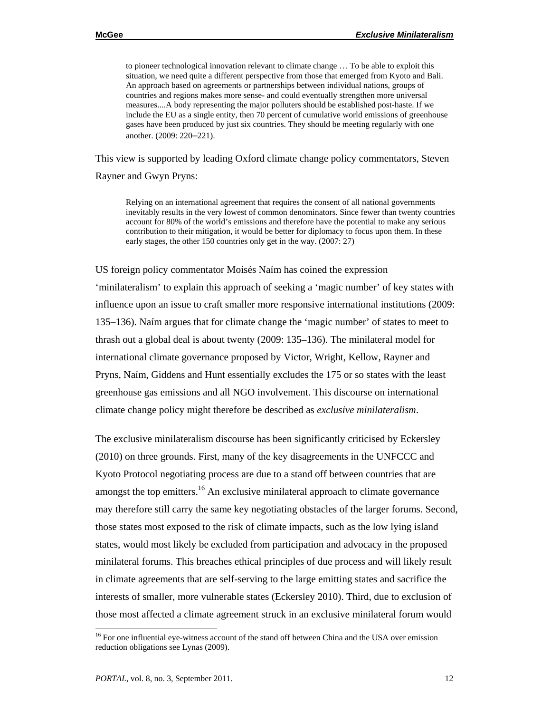to pioneer technological innovation relevant to climate change … To be able to exploit this situation, we need quite a different perspective from those that emerged from Kyoto and Bali. An approach based on agreements or partnerships between individual nations, groups of countries and regions makes more sense- and could eventually strengthen more universal measures....A body representing the major polluters should be established post-haste. If we include the EU as a single entity, then 70 percent of cumulative world emissions of greenhouse gases have been produced by just six countries. They should be meeting regularly with one another. (2009: 220–221).

This view is supported by leading Oxford climate change policy commentators, Steven Rayner and Gwyn Pryns:

Relying on an international agreement that requires the consent of all national governments inevitably results in the very lowest of common denominators. Since fewer than twenty countries account for 80% of the world's emissions and therefore have the potential to make any serious contribution to their mitigation, it would be better for diplomacy to focus upon them. In these early stages, the other 150 countries only get in the way. (2007: 27)

US foreign policy commentator Moisés Naím has coined the expression 'minilateralism' to explain this approach of seeking a 'magic number' of key states with influence upon an issue to craft smaller more responsive international institutions (2009: 135**–**136). Naím argues that for climate change the 'magic number' of states to meet to thrash out a global deal is about twenty (2009: 135**–**136). The minilateral model for international climate governance proposed by Victor, Wright, Kellow, Rayner and Pryns, Naím, Giddens and Hunt essentially excludes the 175 or so states with the least greenhouse gas emissions and all NGO involvement. This discourse on international climate change policy might therefore be described as *exclusive minilateralism*.

The exclusive minilateralism discourse has been significantly criticised by Eckersley (2010) on three grounds. First, many of the key disagreements in the UNFCCC and Kyoto Protocol negotiating process are due to a stand off between countries that are amongst the top emitters.<sup>16</sup> An exclusive minilateral approach to climate governance may therefore still carry the same key negotiating obstacles of the larger forums. Second, those states most exposed to the risk of climate impacts, such as the low lying island states, would most likely be excluded from participation and advocacy in the proposed minilateral forums. This breaches ethical principles of due process and will likely result in climate agreements that are self-serving to the large emitting states and sacrifice the interests of smaller, more vulnerable states (Eckersley 2010). Third, due to exclusion of those most affected a climate agreement struck in an exclusive minilateral forum would

<sup>&</sup>lt;sup>16</sup> For one influential eye-witness account of the stand off between China and the USA over emission reduction obligations see Lynas (2009).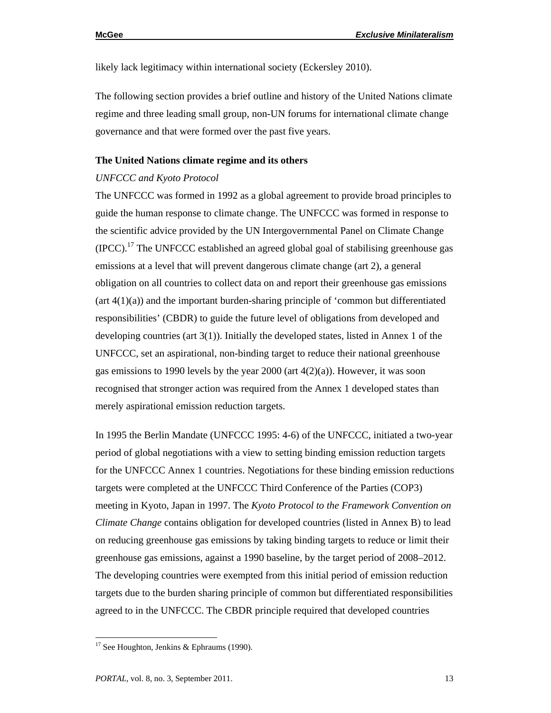likely lack legitimacy within international society (Eckersley 2010).

The following section provides a brief outline and history of the United Nations climate regime and three leading small group, non-UN forums for international climate change governance and that were formed over the past five years.

#### **The United Nations climate regime and its others**

#### *UNFCCC and Kyoto Protocol*

The UNFCCC was formed in 1992 as a global agreement to provide broad principles to guide the human response to climate change. The UNFCCC was formed in response to the scientific advice provided by the UN Intergovernmental Panel on Climate Change  $(IPCC)$ .<sup>17</sup> The UNFCCC established an agreed global goal of stabilising greenhouse gas emissions at a level that will prevent dangerous climate change (art 2), a general obligation on all countries to collect data on and report their greenhouse gas emissions  $(\text{art } 4(1)(a))$  and the important burden-sharing principle of 'common but differentiated responsibilities' (CBDR) to guide the future level of obligations from developed and developing countries (art 3(1)). Initially the developed states, listed in Annex 1 of the UNFCCC, set an aspirational, non-binding target to reduce their national greenhouse gas emissions to 1990 levels by the year 2000 (art 4(2)(a)). However, it was soon recognised that stronger action was required from the Annex 1 developed states than merely aspirational emission reduction targets.

In 1995 the Berlin Mandate (UNFCCC 1995: 4-6) of the UNFCCC, initiated a two-year period of global negotiations with a view to setting binding emission reduction targets for the UNFCCC Annex 1 countries. Negotiations for these binding emission reductions targets were completed at the UNFCCC Third Conference of the Parties (COP3) meeting in Kyoto, Japan in 1997. The *Kyoto Protocol to the Framework Convention on Climate Change* contains obligation for developed countries (listed in Annex B) to lead on reducing greenhouse gas emissions by taking binding targets to reduce or limit their greenhouse gas emissions, against a 1990 baseline, by the target period of 2008–2012. The developing countries were exempted from this initial period of emission reduction targets due to the burden sharing principle of common but differentiated responsibilities agreed to in the UNFCCC. The CBDR principle required that developed countries

 $17$  See Houghton, Jenkins & Ephraums (1990).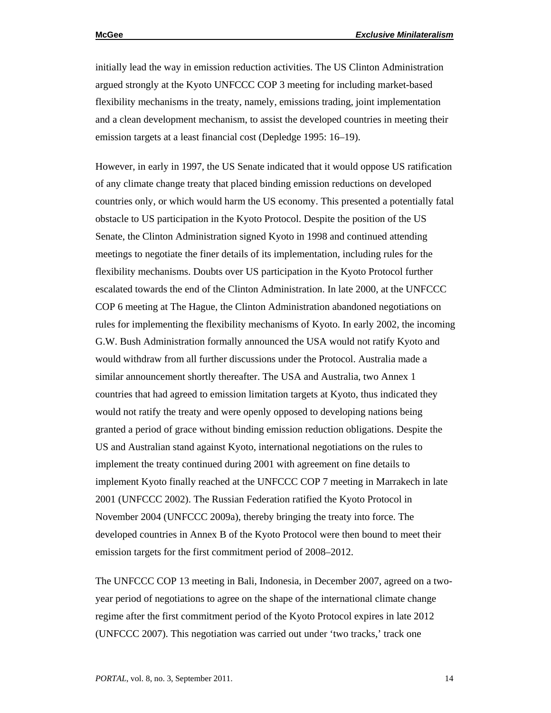initially lead the way in emission reduction activities. The US Clinton Administration argued strongly at the Kyoto UNFCCC COP 3 meeting for including market-based flexibility mechanisms in the treaty, namely, emissions trading, joint implementation and a clean development mechanism, to assist the developed countries in meeting their emission targets at a least financial cost (Depledge 1995: 16–19).

However, in early in 1997, the US Senate indicated that it would oppose US ratification of any climate change treaty that placed binding emission reductions on developed countries only, or which would harm the US economy. This presented a potentially fatal obstacle to US participation in the Kyoto Protocol. Despite the position of the US Senate, the Clinton Administration signed Kyoto in 1998 and continued attending meetings to negotiate the finer details of its implementation, including rules for the flexibility mechanisms. Doubts over US participation in the Kyoto Protocol further escalated towards the end of the Clinton Administration. In late 2000, at the UNFCCC COP 6 meeting at The Hague, the Clinton Administration abandoned negotiations on rules for implementing the flexibility mechanisms of Kyoto. In early 2002, the incoming G.W. Bush Administration formally announced the USA would not ratify Kyoto and would withdraw from all further discussions under the Protocol. Australia made a similar announcement shortly thereafter. The USA and Australia, two Annex 1 countries that had agreed to emission limitation targets at Kyoto, thus indicated they would not ratify the treaty and were openly opposed to developing nations being granted a period of grace without binding emission reduction obligations. Despite the US and Australian stand against Kyoto, international negotiations on the rules to implement the treaty continued during 2001 with agreement on fine details to implement Kyoto finally reached at the UNFCCC COP 7 meeting in Marrakech in late 2001 (UNFCCC 2002). The Russian Federation ratified the Kyoto Protocol in November 2004 (UNFCCC 2009a), thereby bringing the treaty into force. The developed countries in Annex B of the Kyoto Protocol were then bound to meet their emission targets for the first commitment period of 2008–2012.

The UNFCCC COP 13 meeting in Bali, Indonesia, in December 2007, agreed on a twoyear period of negotiations to agree on the shape of the international climate change regime after the first commitment period of the Kyoto Protocol expires in late 2012 (UNFCCC 2007). This negotiation was carried out under 'two tracks,' track one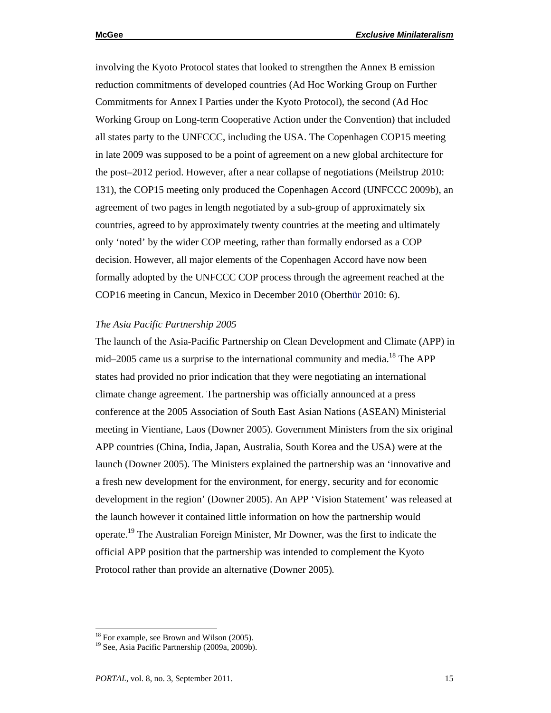involving the Kyoto Protocol states that looked to strengthen the Annex B emission reduction commitments of developed countries (Ad Hoc Working Group on Further Commitments for Annex I Parties under the Kyoto Protocol), the second (Ad Hoc Working Group on Long-term Cooperative Action under the Convention) that included all states party to the UNFCCC, including the USA. The Copenhagen COP15 meeting in late 2009 was supposed to be a point of agreement on a new global architecture for the post–2012 period. However, after a near collapse of negotiations (Meilstrup 2010: 131), the COP15 meeting only produced the Copenhagen Accord (UNFCCC 2009b), an agreement of two pages in length negotiated by a sub-group of approximately six countries, agreed to by approximately twenty countries at the meeting and ultimately only 'noted' by the wider COP meeting, rather than formally endorsed as a COP decision. However, all major elements of the Copenhagen Accord have now been formally adopted by the UNFCCC COP process through the agreement reached at the COP16 meeting in Cancun, Mexico in December 2010 (Oberthür 2010: 6).

#### *The Asia Pacific Partnership 2005*

The launch of the Asia-Pacific Partnership on Clean Development and Climate (APP) in mid–2005 came us a surprise to the international community and media.<sup>18</sup> The APP states had provided no prior indication that they were negotiating an international climate change agreement. The partnership was officially announced at a press conference at the 2005 Association of South East Asian Nations (ASEAN) Ministerial meeting in Vientiane, Laos (Downer 2005). Government Ministers from the six original APP countries (China, India, Japan, Australia, South Korea and the USA) were at the launch (Downer 2005). The Ministers explained the partnership was an 'innovative and a fresh new development for the environment, for energy, security and for economic development in the region' (Downer 2005). An APP 'Vision Statement' was released at the launch however it contained little information on how the partnership would operate.19 The Australian Foreign Minister, Mr Downer, was the first to indicate the official APP position that the partnership was intended to complement the Kyoto Protocol rather than provide an alternative (Downer 2005)*.*

<sup>&</sup>lt;sup>18</sup> For example, see Brown and Wilson (2005).

<sup>&</sup>lt;sup>19</sup> See, Asia Pacific Partnership (2009a, 2009b).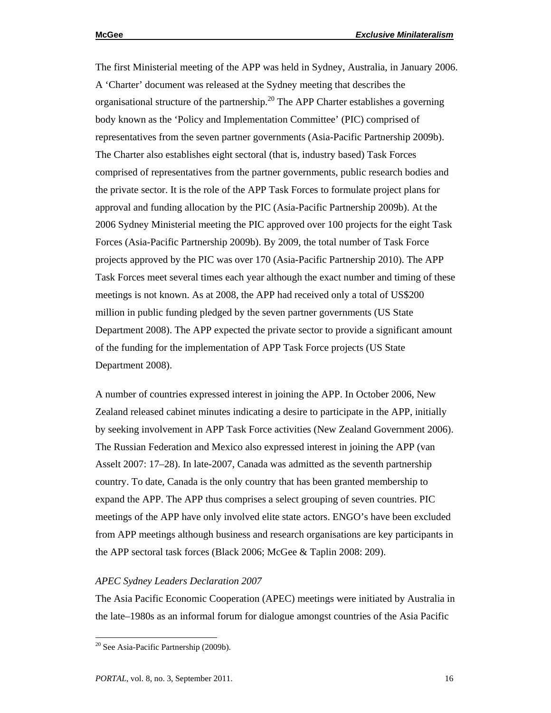The first Ministerial meeting of the APP was held in Sydney, Australia, in January 2006. A 'Charter' document was released at the Sydney meeting that describes the organisational structure of the partnership.<sup>20</sup> The APP Charter establishes a governing body known as the 'Policy and Implementation Committee' (PIC) comprised of representatives from the seven partner governments (Asia-Pacific Partnership 2009b). The Charter also establishes eight sectoral (that is, industry based) Task Forces comprised of representatives from the partner governments, public research bodies and the private sector. It is the role of the APP Task Forces to formulate project plans for approval and funding allocation by the PIC (Asia-Pacific Partnership 2009b). At the 2006 Sydney Ministerial meeting the PIC approved over 100 projects for the eight Task Forces (Asia-Pacific Partnership 2009b). By 2009, the total number of Task Force projects approved by the PIC was over 170 (Asia-Pacific Partnership 2010). The APP Task Forces meet several times each year although the exact number and timing of these meetings is not known. As at 2008, the APP had received only a total of US\$200 million in public funding pledged by the seven partner governments (US State Department 2008). The APP expected the private sector to provide a significant amount of the funding for the implementation of APP Task Force projects (US State Department 2008).

A number of countries expressed interest in joining the APP. In October 2006, New Zealand released cabinet minutes indicating a desire to participate in the APP, initially by seeking involvement in APP Task Force activities (New Zealand Government 2006). The Russian Federation and Mexico also expressed interest in joining the APP (van Asselt 2007: 17–28). In late-2007, Canada was admitted as the seventh partnership country. To date, Canada is the only country that has been granted membership to expand the APP. The APP thus comprises a select grouping of seven countries. PIC meetings of the APP have only involved elite state actors. ENGO's have been excluded from APP meetings although business and research organisations are key participants in the APP sectoral task forces (Black 2006; McGee & Taplin 2008: 209).

#### *APEC Sydney Leaders Declaration 2007*

The Asia Pacific Economic Cooperation (APEC) meetings were initiated by Australia in the late–1980s as an informal forum for dialogue amongst countries of the Asia Pacific

<sup>&</sup>lt;sup>20</sup> See Asia-Pacific Partnership (2009b).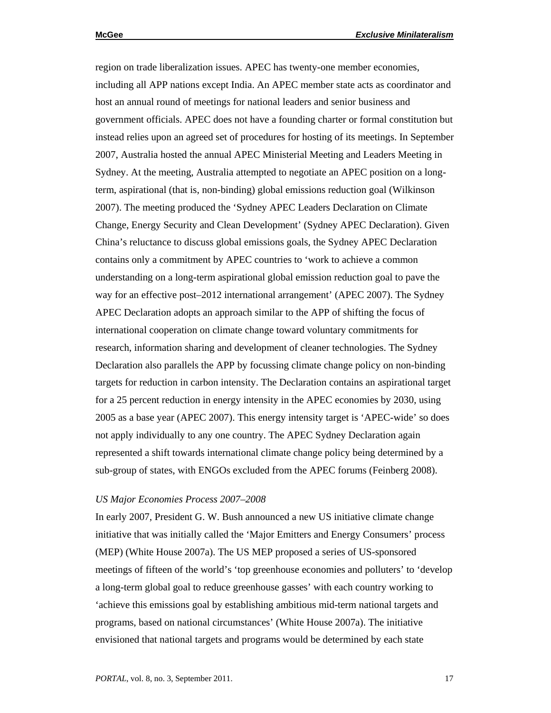region on trade liberalization issues. APEC has twenty-one member economies, including all APP nations except India. An APEC member state acts as coordinator and host an annual round of meetings for national leaders and senior business and government officials. APEC does not have a founding charter or formal constitution but instead relies upon an agreed set of procedures for hosting of its meetings. In September 2007, Australia hosted the annual APEC Ministerial Meeting and Leaders Meeting in Sydney. At the meeting, Australia attempted to negotiate an APEC position on a longterm, aspirational (that is, non-binding) global emissions reduction goal (Wilkinson 2007). The meeting produced the 'Sydney APEC Leaders Declaration on Climate Change, Energy Security and Clean Development' (Sydney APEC Declaration). Given China's reluctance to discuss global emissions goals, the Sydney APEC Declaration contains only a commitment by APEC countries to 'work to achieve a common understanding on a long-term aspirational global emission reduction goal to pave the way for an effective post–2012 international arrangement' (APEC 2007). The Sydney APEC Declaration adopts an approach similar to the APP of shifting the focus of international cooperation on climate change toward voluntary commitments for research, information sharing and development of cleaner technologies. The Sydney Declaration also parallels the APP by focussing climate change policy on non-binding targets for reduction in carbon intensity. The Declaration contains an aspirational target for a 25 percent reduction in energy intensity in the APEC economies by 2030, using 2005 as a base year (APEC 2007). This energy intensity target is 'APEC-wide' so does not apply individually to any one country. The APEC Sydney Declaration again represented a shift towards international climate change policy being determined by a sub-group of states, with ENGOs excluded from the APEC forums (Feinberg 2008).

#### *US Major Economies Process 2007*–*2008*

In early 2007, President G. W. Bush announced a new US initiative climate change initiative that was initially called the 'Major Emitters and Energy Consumers' process (MEP) (White House 2007a). The US MEP proposed a series of US-sponsored meetings of fifteen of the world's 'top greenhouse economies and polluters' to 'develop a long-term global goal to reduce greenhouse gasses' with each country working to 'achieve this emissions goal by establishing ambitious mid-term national targets and programs, based on national circumstances' (White House 2007a). The initiative envisioned that national targets and programs would be determined by each state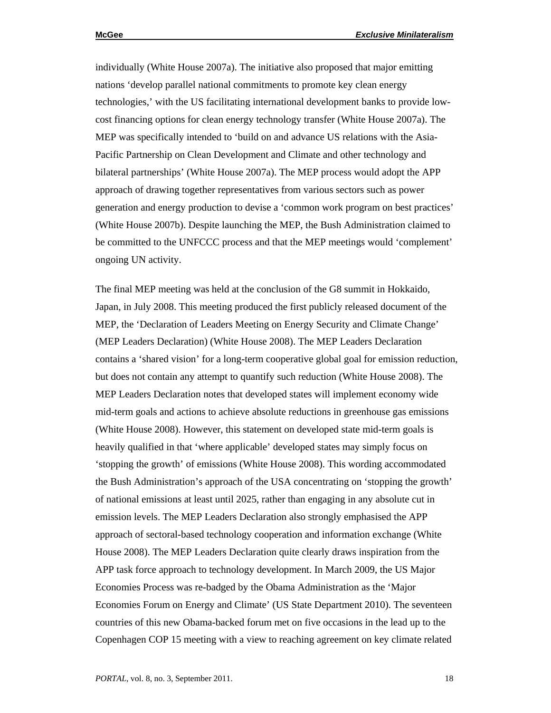individually (White House 2007a). The initiative also proposed that major emitting nations 'develop parallel national commitments to promote key clean energy technologies,' with the US facilitating international development banks to provide lowcost financing options for clean energy technology transfer (White House 2007a). The MEP was specifically intended to 'build on and advance US relations with the Asia-Pacific Partnership on Clean Development and Climate and other technology and bilateral partnerships' (White House 2007a). The MEP process would adopt the APP approach of drawing together representatives from various sectors such as power generation and energy production to devise a 'common work program on best practices' (White House 2007b). Despite launching the MEP, the Bush Administration claimed to be committed to the UNFCCC process and that the MEP meetings would 'complement' ongoing UN activity.

The final MEP meeting was held at the conclusion of the G8 summit in Hokkaido, Japan, in July 2008. This meeting produced the first publicly released document of the MEP, the 'Declaration of Leaders Meeting on Energy Security and Climate Change' (MEP Leaders Declaration) (White House 2008). The MEP Leaders Declaration contains a 'shared vision' for a long-term cooperative global goal for emission reduction, but does not contain any attempt to quantify such reduction (White House 2008). The MEP Leaders Declaration notes that developed states will implement economy wide mid-term goals and actions to achieve absolute reductions in greenhouse gas emissions (White House 2008). However, this statement on developed state mid-term goals is heavily qualified in that 'where applicable' developed states may simply focus on 'stopping the growth' of emissions (White House 2008). This wording accommodated the Bush Administration's approach of the USA concentrating on 'stopping the growth' of national emissions at least until 2025, rather than engaging in any absolute cut in emission levels. The MEP Leaders Declaration also strongly emphasised the APP approach of sectoral-based technology cooperation and information exchange (White House 2008). The MEP Leaders Declaration quite clearly draws inspiration from the APP task force approach to technology development. In March 2009, the US Major Economies Process was re-badged by the Obama Administration as the 'Major Economies Forum on Energy and Climate' (US State Department 2010). The seventeen countries of this new Obama-backed forum met on five occasions in the lead up to the Copenhagen COP 15 meeting with a view to reaching agreement on key climate related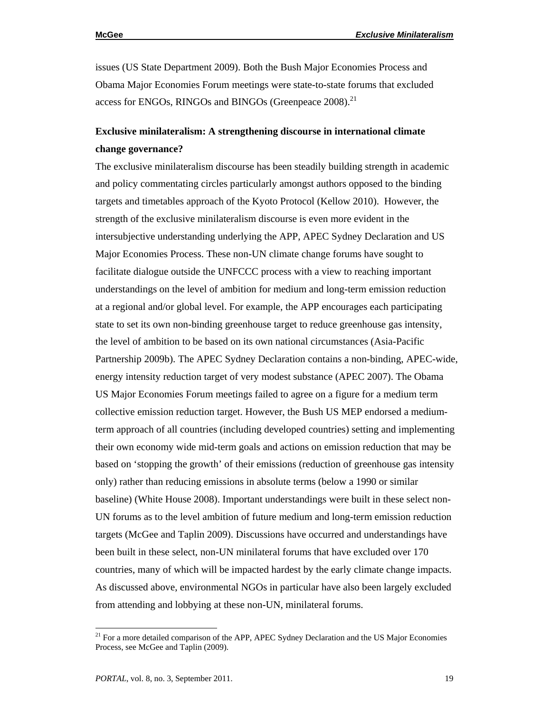issues (US State Department 2009). Both the Bush Major Economies Process and Obama Major Economies Forum meetings were state-to-state forums that excluded access for ENGOs, RINGOs and BINGOs (Greenpeace 2008).<sup>21</sup>

## **Exclusive minilateralism: A strengthening discourse in international climate change governance?**

The exclusive minilateralism discourse has been steadily building strength in academic and policy commentating circles particularly amongst authors opposed to the binding targets and timetables approach of the Kyoto Protocol (Kellow 2010). However, the strength of the exclusive minilateralism discourse is even more evident in the intersubjective understanding underlying the APP, APEC Sydney Declaration and US Major Economies Process. These non-UN climate change forums have sought to facilitate dialogue outside the UNFCCC process with a view to reaching important understandings on the level of ambition for medium and long-term emission reduction at a regional and/or global level. For example, the APP encourages each participating state to set its own non-binding greenhouse target to reduce greenhouse gas intensity, the level of ambition to be based on its own national circumstances (Asia-Pacific Partnership 2009b). The APEC Sydney Declaration contains a non-binding, APEC-wide, energy intensity reduction target of very modest substance (APEC 2007). The Obama US Major Economies Forum meetings failed to agree on a figure for a medium term collective emission reduction target. However, the Bush US MEP endorsed a mediumterm approach of all countries (including developed countries) setting and implementing their own economy wide mid-term goals and actions on emission reduction that may be based on 'stopping the growth' of their emissions (reduction of greenhouse gas intensity only) rather than reducing emissions in absolute terms (below a 1990 or similar baseline) (White House 2008). Important understandings were built in these select non-UN forums as to the level ambition of future medium and long-term emission reduction targets (McGee and Taplin 2009). Discussions have occurred and understandings have been built in these select, non-UN minilateral forums that have excluded over 170 countries, many of which will be impacted hardest by the early climate change impacts. As discussed above, environmental NGOs in particular have also been largely excluded from attending and lobbying at these non-UN, minilateral forums.

<sup>&</sup>lt;sup>21</sup> For a more detailed comparison of the APP, APEC Sydney Declaration and the US Major Economies Process, see McGee and Taplin (2009).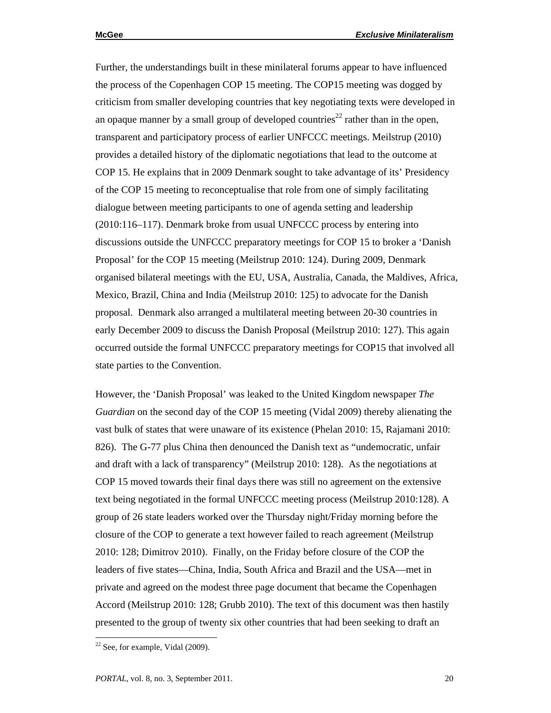Further, the understandings built in these minilateral forums appear to have influenced the process of the Copenhagen COP 15 meeting. The COP15 meeting was dogged by criticism from smaller developing countries that key negotiating texts were developed in an opaque manner by a small group of developed countries<sup>22</sup> rather than in the open, transparent and participatory process of earlier UNFCCC meetings. Meilstrup (2010) provides a detailed history of the diplomatic negotiations that lead to the outcome at COP 15. He explains that in 2009 Denmark sought to take advantage of its' Presidency of the COP 15 meeting to reconceptualise that role from one of simply facilitating dialogue between meeting participants to one of agenda setting and leadership (2010:116–117). Denmark broke from usual UNFCCC process by entering into discussions outside the UNFCCC preparatory meetings for COP 15 to broker a 'Danish Proposal' for the COP 15 meeting (Meilstrup 2010: 124). During 2009, Denmark organised bilateral meetings with the EU, USA, Australia, Canada, the Maldives, Africa, Mexico, Brazil, China and India (Meilstrup 2010: 125) to advocate for the Danish proposal. Denmark also arranged a multilateral meeting between 20-30 countries in early December 2009 to discuss the Danish Proposal (Meilstrup 2010: 127). This again occurred outside the formal UNFCCC preparatory meetings for COP15 that involved all state parties to the Convention.

However, the 'Danish Proposal' was leaked to the United Kingdom newspaper *The Guardian* on the second day of the COP 15 meeting (Vidal 2009) thereby alienating the vast bulk of states that were unaware of its existence (Phelan 2010: 15, Rajamani 2010: 826). The G-77 plus China then denounced the Danish text as "undemocratic, unfair and draft with a lack of transparency" (Meilstrup 2010: 128). As the negotiations at COP 15 moved towards their final days there was still no agreement on the extensive text being negotiated in the formal UNFCCC meeting process (Meilstrup 2010:128). A group of 26 state leaders worked over the Thursday night/Friday morning before the closure of the COP to generate a text however failed to reach agreement (Meilstrup 2010: 128; Dimitrov 2010). Finally, on the Friday before closure of the COP the leaders of five states—China, India, South Africa and Brazil and the USA—met in private and agreed on the modest three page document that became the Copenhagen Accord (Meilstrup 2010: 128; Grubb 2010). The text of this document was then hastily presented to the group of twenty six other countries that had been seeking to draft an

 $22$  See, for example, Vidal (2009).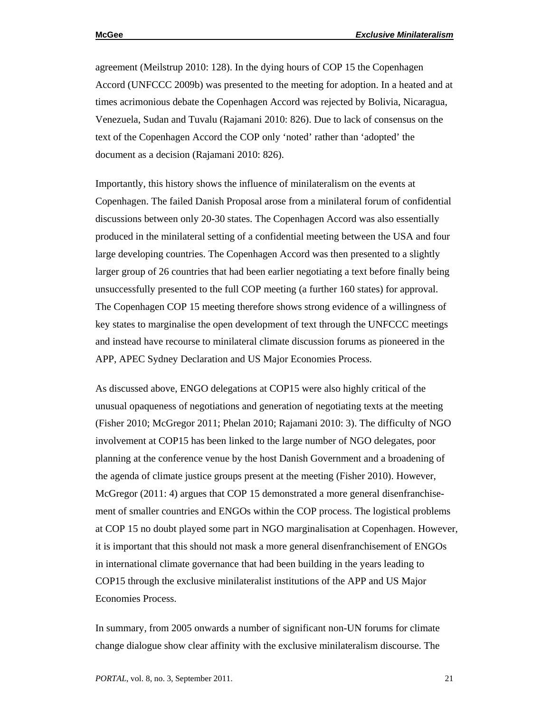agreement (Meilstrup 2010: 128). In the dying hours of COP 15 the Copenhagen Accord (UNFCCC 2009b) was presented to the meeting for adoption. In a heated and at times acrimonious debate the Copenhagen Accord was rejected by Bolivia, Nicaragua, Venezuela, Sudan and Tuvalu (Rajamani 2010: 826). Due to lack of consensus on the text of the Copenhagen Accord the COP only 'noted' rather than 'adopted' the document as a decision (Rajamani 2010: 826).

Importantly, this history shows the influence of minilateralism on the events at Copenhagen. The failed Danish Proposal arose from a minilateral forum of confidential discussions between only 20-30 states. The Copenhagen Accord was also essentially produced in the minilateral setting of a confidential meeting between the USA and four large developing countries. The Copenhagen Accord was then presented to a slightly larger group of 26 countries that had been earlier negotiating a text before finally being unsuccessfully presented to the full COP meeting (a further 160 states) for approval. The Copenhagen COP 15 meeting therefore shows strong evidence of a willingness of key states to marginalise the open development of text through the UNFCCC meetings and instead have recourse to minilateral climate discussion forums as pioneered in the APP, APEC Sydney Declaration and US Major Economies Process.

As discussed above, ENGO delegations at COP15 were also highly critical of the unusual opaqueness of negotiations and generation of negotiating texts at the meeting (Fisher 2010; McGregor 2011; Phelan 2010; Rajamani 2010: 3). The difficulty of NGO involvement at COP15 has been linked to the large number of NGO delegates, poor planning at the conference venue by the host Danish Government and a broadening of the agenda of climate justice groups present at the meeting (Fisher 2010). However, McGregor (2011: 4) argues that COP 15 demonstrated a more general disenfranchisement of smaller countries and ENGOs within the COP process. The logistical problems at COP 15 no doubt played some part in NGO marginalisation at Copenhagen. However, it is important that this should not mask a more general disenfranchisement of ENGOs in international climate governance that had been building in the years leading to COP15 through the exclusive minilateralist institutions of the APP and US Major Economies Process.

In summary, from 2005 onwards a number of significant non-UN forums for climate change dialogue show clear affinity with the exclusive minilateralism discourse. The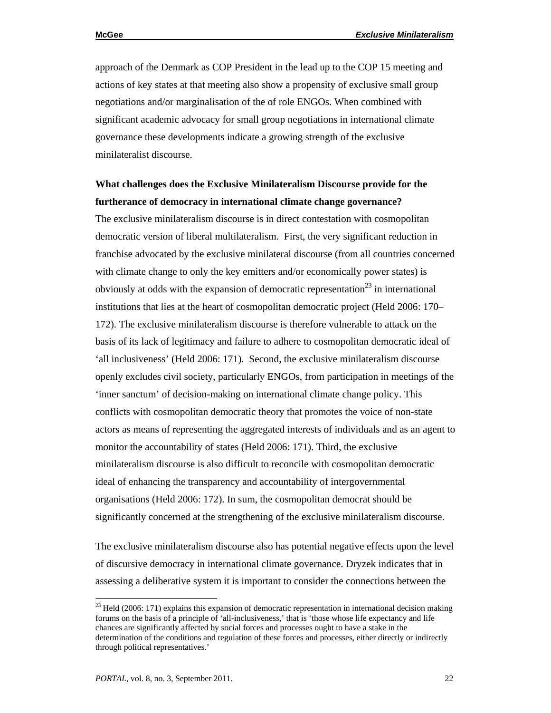approach of the Denmark as COP President in the lead up to the COP 15 meeting and actions of key states at that meeting also show a propensity of exclusive small group negotiations and/or marginalisation of the of role ENGOs. When combined with significant academic advocacy for small group negotiations in international climate governance these developments indicate a growing strength of the exclusive minilateralist discourse.

## **What challenges does the Exclusive Minilateralism Discourse provide for the furtherance of democracy in international climate change governance?**

The exclusive minilateralism discourse is in direct contestation with cosmopolitan democratic version of liberal multilateralism. First, the very significant reduction in franchise advocated by the exclusive minilateral discourse (from all countries concerned with climate change to only the key emitters and/or economically power states) is obviously at odds with the expansion of democratic representation<sup>23</sup> in international institutions that lies at the heart of cosmopolitan democratic project (Held 2006: 170– 172). The exclusive minilateralism discourse is therefore vulnerable to attack on the basis of its lack of legitimacy and failure to adhere to cosmopolitan democratic ideal of 'all inclusiveness' (Held 2006: 171). Second, the exclusive minilateralism discourse openly excludes civil society, particularly ENGOs, from participation in meetings of the 'inner sanctum' of decision-making on international climate change policy. This conflicts with cosmopolitan democratic theory that promotes the voice of non-state actors as means of representing the aggregated interests of individuals and as an agent to monitor the accountability of states (Held 2006: 171). Third, the exclusive minilateralism discourse is also difficult to reconcile with cosmopolitan democratic ideal of enhancing the transparency and accountability of intergovernmental organisations (Held 2006: 172). In sum, the cosmopolitan democrat should be significantly concerned at the strengthening of the exclusive minilateralism discourse.

The exclusive minilateralism discourse also has potential negative effects upon the level of discursive democracy in international climate governance. Dryzek indicates that in assessing a deliberative system it is important to consider the connections between the

 $^{23}$  Held (2006: 171) explains this expansion of democratic representation in international decision making forums on the basis of a principle of 'all-inclusiveness,' that is 'those whose life expectancy and life chances are significantly affected by social forces and processes ought to have a stake in the determination of the conditions and regulation of these forces and processes, either directly or indirectly through political representatives.'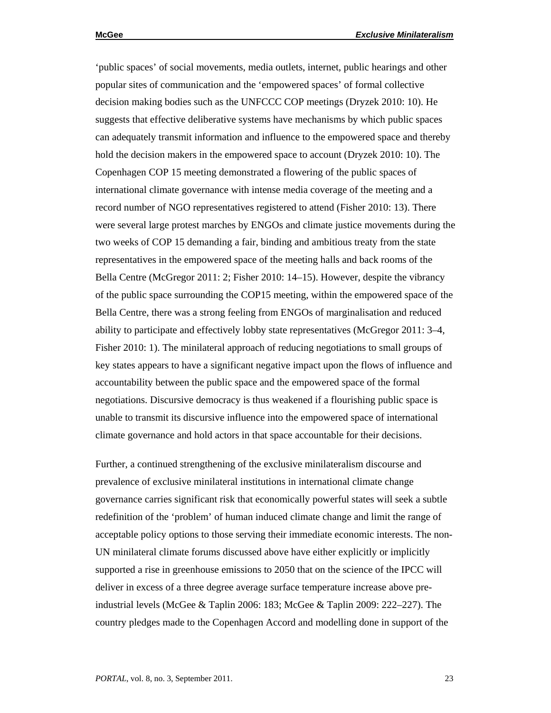'public spaces' of social movements, media outlets, internet, public hearings and other popular sites of communication and the 'empowered spaces' of formal collective decision making bodies such as the UNFCCC COP meetings (Dryzek 2010: 10). He suggests that effective deliberative systems have mechanisms by which public spaces can adequately transmit information and influence to the empowered space and thereby hold the decision makers in the empowered space to account (Dryzek 2010: 10). The Copenhagen COP 15 meeting demonstrated a flowering of the public spaces of international climate governance with intense media coverage of the meeting and a record number of NGO representatives registered to attend (Fisher 2010: 13). There were several large protest marches by ENGOs and climate justice movements during the two weeks of COP 15 demanding a fair, binding and ambitious treaty from the state representatives in the empowered space of the meeting halls and back rooms of the Bella Centre (McGregor 2011: 2; Fisher 2010: 14–15). However, despite the vibrancy of the public space surrounding the COP15 meeting, within the empowered space of the Bella Centre, there was a strong feeling from ENGOs of marginalisation and reduced ability to participate and effectively lobby state representatives (McGregor 2011: 3–4, Fisher 2010: 1). The minilateral approach of reducing negotiations to small groups of key states appears to have a significant negative impact upon the flows of influence and accountability between the public space and the empowered space of the formal negotiations. Discursive democracy is thus weakened if a flourishing public space is unable to transmit its discursive influence into the empowered space of international climate governance and hold actors in that space accountable for their decisions.

Further, a continued strengthening of the exclusive minilateralism discourse and prevalence of exclusive minilateral institutions in international climate change governance carries significant risk that economically powerful states will seek a subtle redefinition of the 'problem' of human induced climate change and limit the range of acceptable policy options to those serving their immediate economic interests. The non-UN minilateral climate forums discussed above have either explicitly or implicitly supported a rise in greenhouse emissions to 2050 that on the science of the IPCC will deliver in excess of a three degree average surface temperature increase above preindustrial levels (McGee & Taplin 2006: 183; McGee & Taplin 2009: 222–227). The country pledges made to the Copenhagen Accord and modelling done in support of the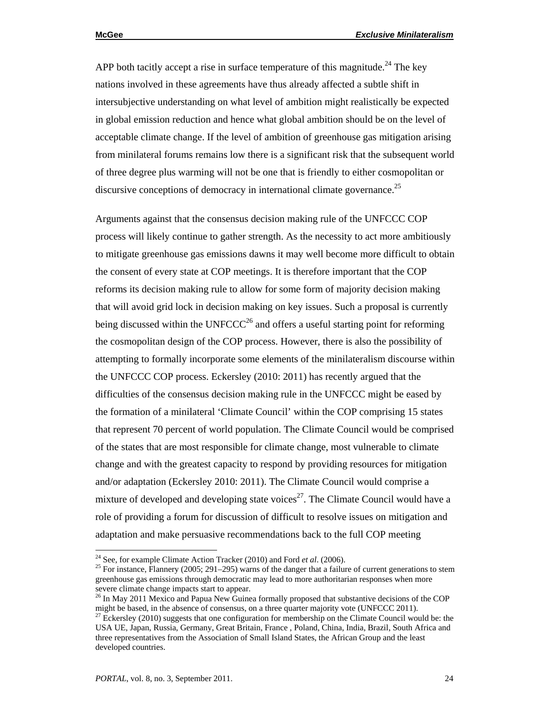APP both tacitly accept a rise in surface temperature of this magnitude.<sup>24</sup> The key nations involved in these agreements have thus already affected a subtle shift in intersubjective understanding on what level of ambition might realistically be expected in global emission reduction and hence what global ambition should be on the level of acceptable climate change. If the level of ambition of greenhouse gas mitigation arising from minilateral forums remains low there is a significant risk that the subsequent world of three degree plus warming will not be one that is friendly to either cosmopolitan or discursive conceptions of democracy in international climate governance.<sup>25</sup>

Arguments against that the consensus decision making rule of the UNFCCC COP process will likely continue to gather strength. As the necessity to act more ambitiously to mitigate greenhouse gas emissions dawns it may well become more difficult to obtain the consent of every state at COP meetings. It is therefore important that the COP reforms its decision making rule to allow for some form of majority decision making that will avoid grid lock in decision making on key issues. Such a proposal is currently being discussed within the UNFCCC<sup>26</sup> and offers a useful starting point for reforming the cosmopolitan design of the COP process. However, there is also the possibility of attempting to formally incorporate some elements of the minilateralism discourse within the UNFCCC COP process. Eckersley (2010: 2011) has recently argued that the difficulties of the consensus decision making rule in the UNFCCC might be eased by the formation of a minilateral 'Climate Council' within the COP comprising 15 states that represent 70 percent of world population. The Climate Council would be comprised of the states that are most responsible for climate change, most vulnerable to climate change and with the greatest capacity to respond by providing resources for mitigation and/or adaptation (Eckersley 2010: 2011). The Climate Council would comprise a mixture of developed and developing state voices<sup>27</sup>. The Climate Council would have a role of providing a forum for discussion of difficult to resolve issues on mitigation and adaptation and make persuasive recommendations back to the full COP meeting

<sup>&</sup>lt;sup>24</sup> See, for example Climate Action Tracker (2010) and Ford *et al.* (2006).<br><sup>25</sup> For instance, Flannery (2005; 291–295) warns of the danger that a failure of current generations to stem greenhouse gas emissions through democratic may lead to more authoritarian responses when more severe climate change impacts start to appear.

<sup>&</sup>lt;sup>26</sup> In May 2011 Mexico and Papua New Guinea formally proposed that substantive decisions of the COP might be based, in the absence of consensus, on a three quarter majority vote (UNFCCC 2011).

 $27$  Eckersley (2010) suggests that one configuration for membership on the Climate Council would be: the USA UE, Japan, Russia, Germany, Great Britain, France , Poland, China, India, Brazil, South Africa and three representatives from the Association of Small Island States, the African Group and the least developed countries.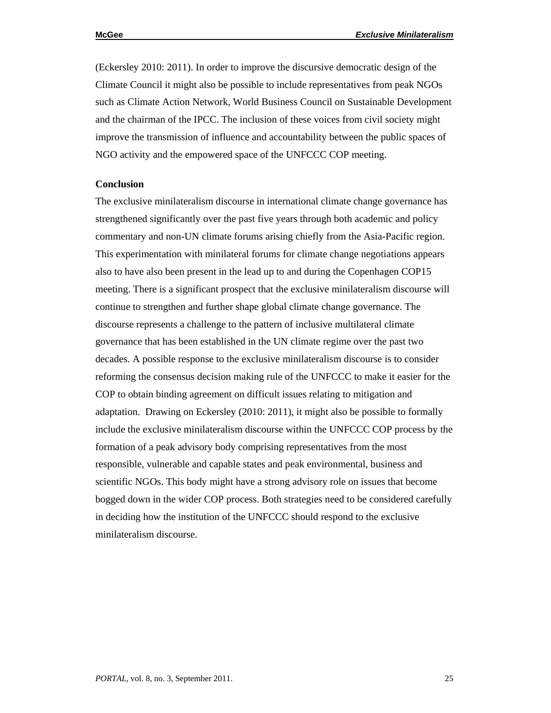(Eckersley 2010: 2011). In order to improve the discursive democratic design of the Climate Council it might also be possible to include representatives from peak NGOs such as Climate Action Network, World Business Council on Sustainable Development and the chairman of the IPCC. The inclusion of these voices from civil society might improve the transmission of influence and accountability between the public spaces of NGO activity and the empowered space of the UNFCCC COP meeting.

## **Conclusion**

The exclusive minilateralism discourse in international climate change governance has strengthened significantly over the past five years through both academic and policy commentary and non-UN climate forums arising chiefly from the Asia-Pacific region. This experimentation with minilateral forums for climate change negotiations appears also to have also been present in the lead up to and during the Copenhagen COP15 meeting. There is a significant prospect that the exclusive minilateralism discourse will continue to strengthen and further shape global climate change governance. The discourse represents a challenge to the pattern of inclusive multilateral climate governance that has been established in the UN climate regime over the past two decades. A possible response to the exclusive minilateralism discourse is to consider reforming the consensus decision making rule of the UNFCCC to make it easier for the COP to obtain binding agreement on difficult issues relating to mitigation and adaptation. Drawing on Eckersley (2010: 2011), it might also be possible to formally include the exclusive minilateralism discourse within the UNFCCC COP process by the formation of a peak advisory body comprising representatives from the most responsible, vulnerable and capable states and peak environmental, business and scientific NGOs. This body might have a strong advisory role on issues that become bogged down in the wider COP process. Both strategies need to be considered carefully in deciding how the institution of the UNFCCC should respond to the exclusive minilateralism discourse.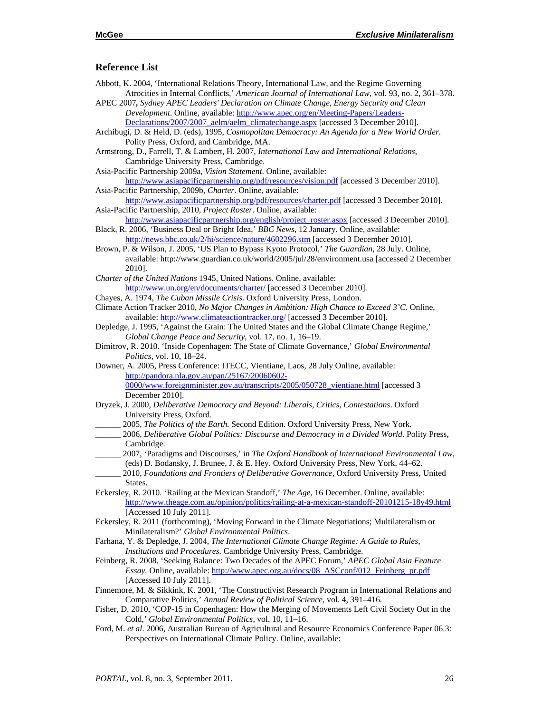#### **Reference List**

- Abbott, K. 2004, 'International Relations Theory, International Law, and the Regime Governing Atrocities in Internal Conflicts,' *American Journal of International Law*, vol. 93, no. 2, 361–378.
- APEC 2007*, Sydney APEC Leaders' Declaration on Climate Change, Energy Security and Clean Development*. Online, available: http://www.apec.org/en/Meeting-Papers/Leaders-Declarations/2007/2007\_aelm/aelm\_climatechange.aspx [accessed 3 December 2010].
- Archibugi, D. & Held, D. (eds), 1995, *Cosmopolitan Democracy: An Agenda for a New World Order*. Polity Press, Oxford, and Cambridge, MA.
- Armstrong, D., Farrell, T. & Lambert, H. 2007, *International Law and International Relations*, Cambridge University Press, Cambridge.
- Asia-Pacific Partnership 2009a, *Vision Statement*. Online, available:
- http://www.asiapacificpartnership.org/pdf/resources/vision.pdf [accessed 3 December 2010]. Asia-Pacific Partnership, 2009b, *Charter*. Online, available:
- http://www.asiapacificpartnership.org/pdf/resources/charter.pdf [accessed 3 December 2010]. Asia-Pacific Partnership, 2010, *Project Roster*. Online, available:
- http://www.asiapacificpartnership.org/english/project\_roster.aspx [accessed 3 December 2010]. Black, R. 2006, 'Business Deal or Bright Idea,' *BBC News*, 12 January. Online, available:

http://news.bbc.co.uk/2/hi/science/nature/4602296.stm [accessed 3 December 2010].

- Brown, P. & Wilson, J. 2005, 'US Plan to Bypass Kyoto Protocol,' *The Guardian*, 28 July. Online, available: http://www.guardian.co.uk/world/2005/jul/28/environment.usa [accessed 2 December 2010].
- *Charter of the United Nations* 1945, United Nations. Online, available: http://www.un.org/en/documents/charter/ [accessed 3 December 2010].
- Chayes, A. 1974, *The Cuban Missile Crisis*. Oxford University Press, London.
- Climate Action Tracker 2010, *No Major Changes in Ambition: High Chance to Exceed 3˚C*. Online, available: http://www.climateactiontracker.org/ [accessed 3 December 2010].
- Depledge, J. 1995, 'Against the Grain: The United States and the Global Climate Change Regime,' *Global Change Peace and Security*, vol. 17, no. 1, 16–19.
- Dimitrov, R. 2010. 'Inside Copenhagen: The State of Climate Governance,' *Global Environmental Politics*, vol. 10, 18–24.
- Downer, A. 2005, Press Conference: ITECC, Vientiane, Laos, 28 July Online, available: http://pandora.nla.gov.au/pan/25167/20060602- 0000/www.foreignminister.gov.au/transcripts/2005/050728\_vientiane.html [accessed 3 December 2010].
- Dryzek, J. 2000, *Deliberative Democracy and Beyond: Liberals, Critics, Contestations*. Oxford University Press, Oxford.
- \_\_\_\_\_\_ 2005, *The Politics of the Earth.* Second Edition. Oxford University Press, New York.
- \_\_\_\_\_\_ 2006, *Deliberative Global Politics: Discourse and Democracy in a Divided World*. Polity Press, Cambridge.
	- \_\_\_\_\_\_ 2007, 'Paradigms and Discourses,' in *The Oxford Handbook of International Environmental Law,* (eds) D. Bodansky, J. Brunee, J. & E. Hey. Oxford University Press, New York, 44–62.
- \_\_\_\_\_\_ 2010, *Foundations and Frontiers of Deliberative Governance,* Oxford University Press, United States.
- Eckersley, R. 2010. 'Railing at the Mexican Standoff,' *The Age,* 16 December. Online, available: http://www.theage.com.au/opinion/politics/railing-at-a-mexican-standoff-20101215-18y49.html [Accessed 10 July 2011].
- Eckersley, R. 2011 (forthcoming), 'Moving Forward in the Climate Negotiations; Multilateralism or Minilateralism?' *Global Environmental Politics*.
- Farhana, Y. & Depledge, J. 2004, *The International Climate Change Regime: A Guide to Rules, Institutions and Procedures.* Cambridge University Press, Cambridge.
- Feinberg, R. 2008, 'Seeking Balance: Two Decades of the APEC Forum,' *APEC Global Asia Feature Essay.* Online, available: http://www.apec.org.au/docs/08\_ASCconf/012\_Feinberg\_pr.pdf [Accessed 10 July 2011].
- Finnemore, M. & Sikkink, K. 2001, 'The Constructivist Research Program in International Relations and Comparative Politics,' *Annual Review of Political Science*, vol. 4, 391–416.
- Fisher, D. 2010, 'COP-15 in Copenhagen: How the Merging of Movements Left Civil Society Out in the Cold,' *Global Environmental Politics*, vol. 10, 11–16.
- Ford, M. *et al*. 2006, Australian Bureau of Agricultural and Resource Economics Conference Paper 06.3: Perspectives on International Climate Policy. Online, available: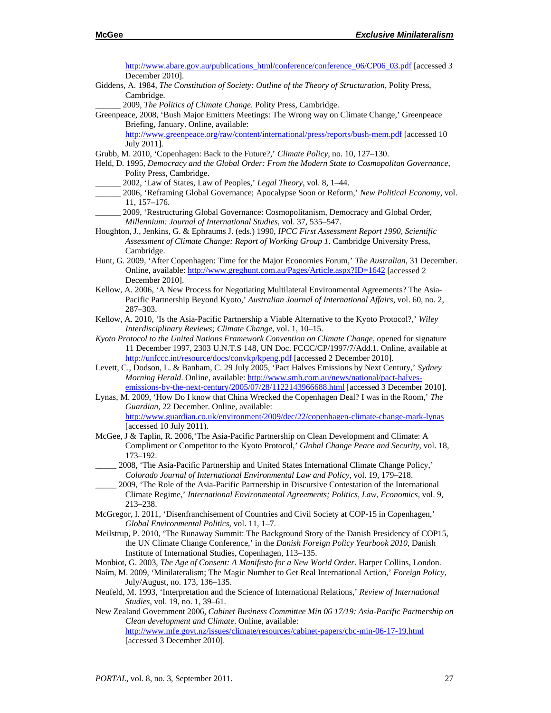http://www.abare.gov.au/publications\_html/conference/conference\_06/CP06\_03.pdf [accessed 3 December 2010]. Giddens, A. 1984, *The Constitution of Society: Outline of the Theory of Structuration*, Polity Press, Cambridge. \_\_\_\_\_\_ 2009, *The Politics of Climate Change*. Polity Press, Cambridge. Greenpeace, 2008, 'Bush Major Emitters Meetings: The Wrong way on Climate Change,' Greenpeace Briefing, January. Online, available: http://www.greenpeace.org/raw/content/international/press/reports/bush-mem.pdf [accessed 10 July 2011]. Grubb, M. 2010, 'Copenhagen: Back to the Future?,' *Climate Policy,* no. 10, 127–130. Held, D. 1995, *Democracy and the Global Order: From the Modern State to Cosmopolitan Governance*, Polity Press, Cambridge. \_\_\_\_\_\_ 2002, 'Law of States, Law of Peoples,' *Legal Theory*, vol. 8, 1–44. \_\_\_\_\_\_ 2006, 'Reframing Global Governance; Apocalypse Soon or Reform,' *New Political Economy*, vol. 11, 157–176. 2009, 'Restructuring Global Governance: Cosmopolitanism, Democracy and Global Order, *Millennium: Journal of International Studies*, vol. 37, 535–547. Houghton, J., Jenkins, G. & Ephraums J. (eds.) 1990, *IPCC First Assessment Report 1990, Scientific Assessment of Climate Change: Report of Working Group 1*. Cambridge University Press, Cambridge. Hunt, G. 2009, 'After Copenhagen: Time for the Major Economies Forum,' *The Australian*, 31 December. Online, available: http://www.greghunt.com.au/Pages/Article.aspx?ID=1642 [accessed 2 December 2010]. Kellow, A. 2006, 'A New Process for Negotiating Multilateral Environmental Agreements? The Asia-Pacific Partnership Beyond Kyoto,' *Australian Journal of International Affairs*, vol. 60, no. 2, 287–303. Kellow, A. 2010, 'Is the Asia-Pacific Partnership a Viable Alternative to the Kyoto Protocol?,' *Wiley Interdisciplinary Reviews; Climate Change,* vol. 1, 10–15. *Kyoto Protocol to the United Nations Framework Convention on Climate Change*, opened for signature 11 December 1997, 2303 U.N.T.S 148, UN Doc. FCCC/CP/1997/7/Add.1. Online, available at http://unfccc.int/resource/docs/convkp/kpeng.pdf [accessed 2 December 2010]. Levett, C., Dodson, L. & Banham, C. 29 July 2005, 'Pact Halves Emissions by Next Century,' *Sydney Morning Herald*. Online, available: http://www.smh.com.au/news/national/pact-halvesemissions-by-the-next-century/2005/07/28/1122143966688.html [accessed 3 December 2010]. Lynas, M. 2009, 'How Do I know that China Wrecked the Copenhagen Deal? I was in the Room,' *The Guardian,* 22 December. Online, available: http://www.guardian.co.uk/environment/2009/dec/22/copenhagen-climate-change-mark-lynas [accessed 10 July 2011). McGee, J & Taplin, R. 2006,'The Asia-Pacific Partnership on Clean Development and Climate: A Compliment or Competitor to the Kyoto Protocol,' *Global Change Peace and Security*, vol. 18, 173–192. \_\_\_\_\_ 2008, 'The Asia-Pacific Partnership and United States International Climate Change Policy,' *Colorado Journal of International Environmental Law and Policy*, vol. 19, 179–218. \_\_\_\_\_ 2009, 'The Role of the Asia-Pacific Partnership in Discursive Contestation of the International Climate Regime,' *International Environmental Agreements; Politics, Law, Economics,* vol. 9, 213–238. McGregor, I. 2011, 'Disenfranchisement of Countries and Civil Society at COP-15 in Copenhagen,' *Global Environmental Politics*, vol. 11, 1–7. Meilstrup, P. 2010, 'The Runaway Summit: The Background Story of the Danish Presidency of COP15, the UN Climate Change Conference,' in the *Danish Foreign Policy Yearbook 2010*, Danish Institute of International Studies, Copenhagen, 113–135. Monbiot, G. 2003, *The Age of Consent: A Manifesto for a New World Order*. Harper Collins, London. Naím, M. 2009, 'Minilateralism; The Magic Number to Get Real International Action,' *Foreign Policy,*  July/August, no. 173, 136–135. Neufeld, M. 1993, 'Interpretation and the Science of International Relations,' *Review of International Studies*, vol. 19, no. 1, 39–61. New Zealand Government 2006, *Cabinet Business Committee Min 06 17/19: Asia-Pacific Partnership on Clean development and Climate*. Online, available: http://www.mfe.govt.nz/issues/climate/resources/cabinet-papers/cbc-min-06-17-19.html [accessed 3 December 2010].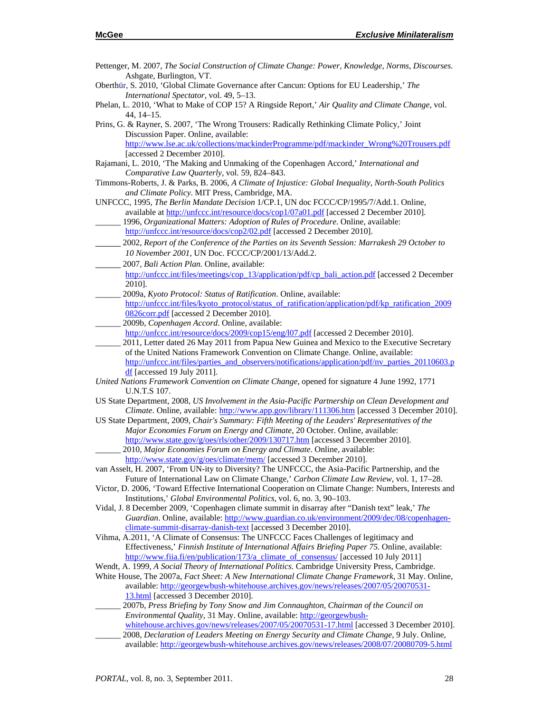- Pettenger, M. 2007, *The Social Construction of Climate Change: Power, Knowledge, Norms, Discourses*. Ashgate, Burlington, VT.
- Oberthür, S. 2010, 'Global Climate Governance after Cancun: Options for EU Leadership,' *The International Spectator*, vol. 49, 5–13.
- Phelan, L. 2010, 'What to Make of COP 15? A Ringside Report,' *Air Quality and Climate Change*, vol. 44, 14–15.
- Prins, G. & Rayner, S. 2007, 'The Wrong Trousers: Radically Rethinking Climate Policy,' Joint Discussion Paper. Online, available: http://www.lse.ac.uk/collections/mackinderProgramme/pdf/mackinder\_Wrong%20Trousers.pdf [accessed 2 December 2010].
- Rajamani, L. 2010, 'The Making and Unmaking of the Copenhagen Accord,' *International and Comparative Law Quarterly*, vol. 59, 824–843.
- Timmons-Roberts, J. & Parks, B. 2006, *A Climate of Injustice: Global Inequality, North-South Politics and Climate Policy*. MIT Press, Cambridge, MA.
- UNFCCC, 1995, *The Berlin Mandate Decision* 1/CP.1, UN doc FCCC/CP/1995/7/Add.1. Online, available at http://unfccc.int/resource/docs/cop1/07a01.pdf [accessed 2 December 2010].
	- \_\_\_\_\_\_ 1996, *Organizational Matters: Adoption of Rules of Procedure*. Online, available: http://unfccc.int/resource/docs/cop2/02.pdf [accessed 2 December 2010].
- \_\_\_\_\_ 2002, *Report of the Conference of the Parties on its Seventh Session: Marrakesh 29 October to 10 November 2001*, UN Doc. FCCC/CP/2001/13/Add.2.
- \_\_\_\_\_ 2007, *Bali Action Plan.* Online, available:
- http://unfccc.int/files/meetings/cop\_13/application/pdf/cp\_bali\_action.pdf [accessed 2 December 2010].
- \_\_\_\_\_\_ 2009a*, Kyoto Protocol: Status of Ratification*. Online, available: http://unfccc.int/files/kyoto\_protocol/status\_of\_ratification/application/pdf/kp\_ratification\_2009
- 0826corr.pdf [accessed 2 December 2010].
- 2009b, *Copenhagen Accord*. Online, available:
- http://unfccc.int/resource/docs/2009/cop15/eng/l07.pdf [accessed 2 December 2010].
- 2011, Letter dated 26 May 2011 from Papua New Guinea and Mexico to the Executive Secretary of the United Nations Framework Convention on Climate Change. Online, available: http://unfccc.int/files/parties\_and\_observers/notifications/application/pdf/nv\_parties\_20110603.p df [accessed 19 July 2011].
- *United Nations Framework Convention on Climate Change*, opened for signature 4 June 1992, 1771 U.N.T.S 107.
- US State Department, 2008, *US Involvement in the Asia-Pacific Partnership on Clean Development and Climate*. Online, available: http://www.app.gov/library/111306.htm [accessed 3 December 2010].
- US State Department, 2009, *Chair's Summary: Fifth Meeting of the Leaders' Representatives of the Major Economies Forum on Energy and Climate*, 20 October. Online, available: http://www.state.gov/g/oes/rls/other/2009/130717.htm [accessed 3 December 2010]. \_\_\_\_\_\_ 2010, *Major Economies Forum on Energy and Climate*. Online, available:
	- http://www.state.gov/g/oes/climate/mem/ [accessed 3 December 2010].
- van Asselt, H. 2007, 'From UN-ity to Diversity? The UNFCCC, the Asia-Pacific Partnership, and the Future of International Law on Climate Change,' *Carbon Climate Law Review*, vol. 1, 17–28.
- Victor, D. 2006, 'Toward Effective International Cooperation on Climate Change: Numbers, Interests and Institutions,' *Global Environmental Politics*, vol. 6, no. 3, 90–103.
- Vidal, J. 8 December 2009, 'Copenhagen climate summit in disarray after "Danish text" leak,' *The Guardian*. Online, available: http://www.guardian.co.uk/environment/2009/dec/08/copenhagenclimate-summit-disarray-danish-text [accessed 3 December 2010].
- Vihma, A.2011, 'A Climate of Consensus: The UNFCCC Faces Challenges of legitimacy and Effectiveness,' *Finnish Institute of International Affairs Briefing Paper 75*. Online, available: http://www.fiia.fi/en/publication/173/a\_climate\_of\_consensus/ [accessed 10 July 2011]
- Wendt, A. 1999, *A Social Theory of International Politics*. Cambridge University Press, Cambridge.
- White House, The 2007a, *Fact Sheet: A New International Climate Change Framework*, 31 May. Online, available: http://georgewbush-whitehouse.archives.gov/news/releases/2007/05/20070531- 13.html [accessed 3 December 2010].
	- \_\_\_\_\_\_ 2007b, *Press Briefing by Tony Snow and Jim Connaughton, Chairman of the Council on Environmental Quality*, 31 May. Online, available: http://georgewbush-
	- whitehouse.archives.gov/news/releases/2007/05/20070531-17.html [accessed 3 December 2010]. \_\_\_\_\_\_ 2008, *Declaration of Leaders Meeting on Energy Security and Climate Change*, 9 July. Online, available: http://georgewbush-whitehouse.archives.gov/news/releases/2008/07/20080709-5.html